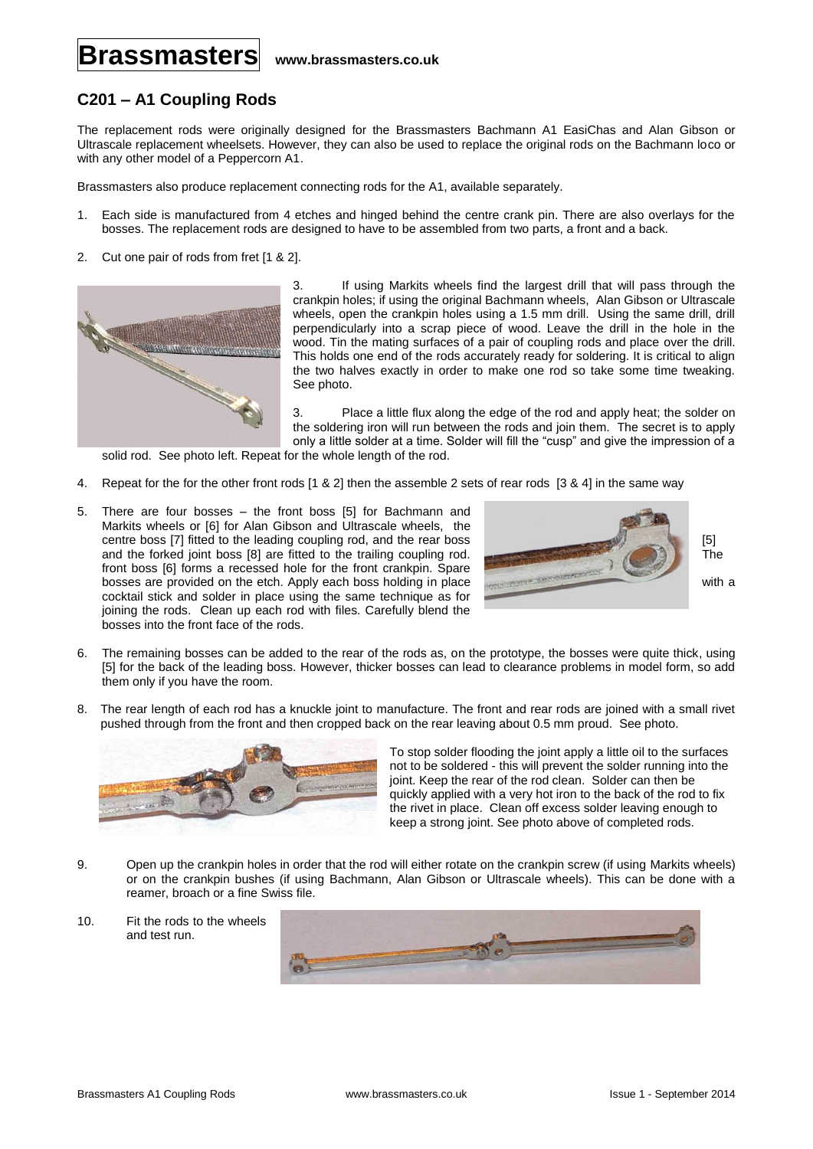## **Brassmasters www.brassmasters.co.uk**

## **C201 – A1 Coupling Rods**

The replacement rods were originally designed for the Brassmasters Bachmann A1 EasiChas and Alan Gibson or Ultrascale replacement wheelsets. However, they can also be used to replace the original rods on the Bachmann loco or with any other model of a Peppercorn A1.

Brassmasters also produce replacement connecting rods for the A1, available separately.

- 1. Each side is manufactured from 4 etches and hinged behind the centre crank pin. There are also overlays for the bosses. The replacement rods are designed to have to be assembled from two parts, a front and a back.
- 2. Cut one pair of rods from fret [1 & 2].



3. If using Markits wheels find the largest drill that will pass through the crankpin holes; if using the original Bachmann wheels, Alan Gibson or Ultrascale wheels, open the crankpin holes using a 1.5 mm drill. Using the same drill, drill perpendicularly into a scrap piece of wood. Leave the drill in the hole in the wood. Tin the mating surfaces of a pair of coupling rods and place over the drill. This holds one end of the rods accurately ready for soldering. It is critical to align the two halves exactly in order to make one rod so take some time tweaking. See photo.

3. Place a little flux along the edge of the rod and apply heat; the solder on the soldering iron will run between the rods and join them. The secret is to apply only a little solder at a time. Solder will fill the "cusp" and give the impression of a

solid rod. See photo left. Repeat for the whole length of the rod.

- 4. Repeat for the for the other front rods [1 & 2] then the assemble 2 sets of rear rods [3 & 4] in the same way
- 5. There are four bosses the front boss [5] for Bachmann and Markits wheels or [6] for Alan Gibson and Ultrascale wheels, the centre boss [7] fitted to the leading coupling rod, and the rear boss [5] and the forked joint boss [8] are fitted to the trailing coupling rod. The front boss [6] forms a recessed hole for the front crankpin. Spare bosses are provided on the etch. Apply each boss holding in place with a with a cocktail stick and solder in place using the same technique as for joining the rods. Clean up each rod with files. Carefully blend the bosses into the front face of the rods.



- 6. The remaining bosses can be added to the rear of the rods as, on the prototype, the bosses were quite thick, using [5] for the back of the leading boss. However, thicker bosses can lead to clearance problems in model form, so add them only if you have the room.
- 8. The rear length of each rod has a knuckle joint to manufacture. The front and rear rods are joined with a small rivet pushed through from the front and then cropped back on the rear leaving about 0.5 mm proud. See photo.



To stop solder flooding the joint apply a little oil to the surfaces not to be soldered - this will prevent the solder running into the joint. Keep the rear of the rod clean. Solder can then be quickly applied with a very hot iron to the back of the rod to fix the rivet in place. Clean off excess solder leaving enough to keep a strong joint. See photo above of completed rods.

- 9. Open up the crankpin holes in order that the rod will either rotate on the crankpin screw (if using Markits wheels) or on the crankpin bushes (if using Bachmann, Alan Gibson or Ultrascale wheels). This can be done with a reamer, broach or a fine Swiss file.
- 10. Fit the rods to the wheels and test run.